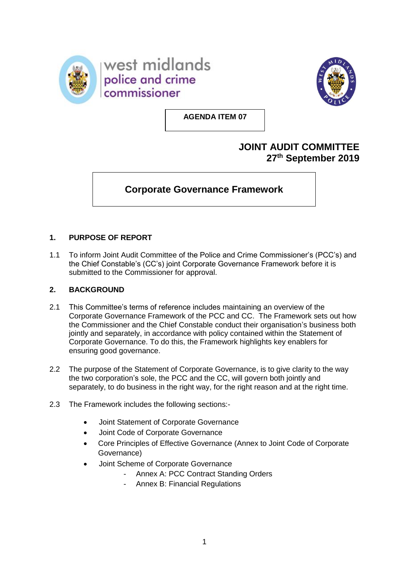



**AGENDA ITEM 07**

## **JOINT AUDIT COMMITTEE 27 th September 2019**

# **Corporate Governance Framework**

### **1. PURPOSE OF REPORT**

1.1 To inform Joint Audit Committee of the Police and Crime Commissioner's (PCC's) and the Chief Constable's (CC's) joint Corporate Governance Framework before it is submitted to the Commissioner for approval.

### **2. BACKGROUND**

- 2.1 This Committee's terms of reference includes maintaining an overview of the Corporate Governance Framework of the PCC and CC. The Framework sets out how the Commissioner and the Chief Constable conduct their organisation's business both jointly and separately, in accordance with policy contained within the Statement of Corporate Governance. To do this, the Framework highlights key enablers for ensuring good governance.
- 2.2 The purpose of the Statement of Corporate Governance, is to give clarity to the way the two corporation's sole, the PCC and the CC, will govern both jointly and separately, to do business in the right way, for the right reason and at the right time.
- 2.3 The Framework includes the following sections:-
	- Joint Statement of Corporate Governance
	- Joint Code of Corporate Governance
	- Core Principles of Effective Governance (Annex to Joint Code of Corporate Governance)
	- Joint Scheme of Corporate Governance
		- Annex A: PCC Contract Standing Orders
		- Annex B: Financial Regulations